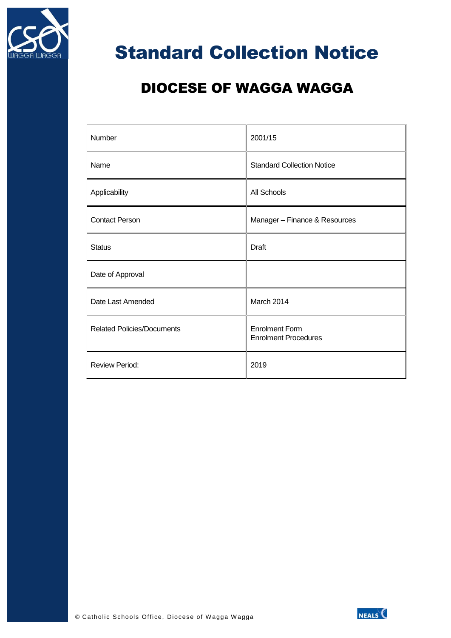

## Standard Collection Notice

## DIOCESE OF WAGGA WAGGA

| Number                            | 2001/15                                              |
|-----------------------------------|------------------------------------------------------|
| Name                              | <b>Standard Collection Notice</b>                    |
| Applicability                     | All Schools                                          |
| <b>Contact Person</b>             | Manager - Finance & Resources                        |
| <b>Status</b>                     | <b>Draft</b>                                         |
| Date of Approval                  |                                                      |
| Date Last Amended                 | March 2014                                           |
| <b>Related Policies/Documents</b> | <b>Enrolment Form</b><br><b>Enrolment Procedures</b> |
| <b>Review Period:</b>             | 2019                                                 |

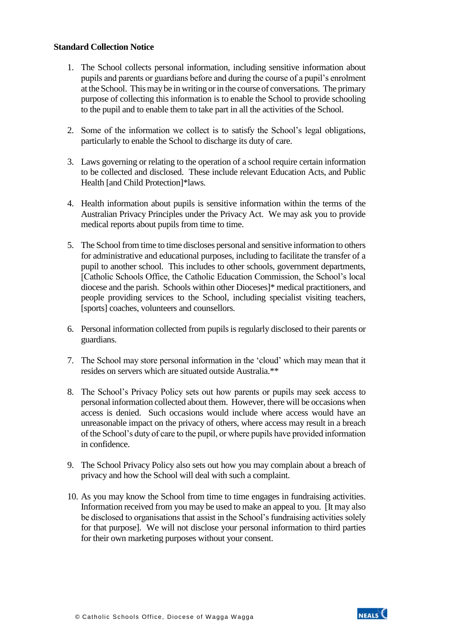## **Standard Collection Notice**

- 1. The School collects personal information, including sensitive information about pupils and parents or guardians before and during the course of a pupil's enrolment at the School. This may be in writing or in the course of conversations. The primary purpose of collecting this information is to enable the School to provide schooling to the pupil and to enable them to take part in all the activities of the School.
- 2. Some of the information we collect is to satisfy the School's legal obligations, particularly to enable the School to discharge its duty of care.
- 3. Laws governing or relating to the operation of a school require certain information to be collected and disclosed. These include relevant Education Acts, and Public Health [and Child Protection]\*laws.
- 4. Health information about pupils is sensitive information within the terms of the Australian Privacy Principles under the Privacy Act. We may ask you to provide medical reports about pupils from time to time.
- 5. The School from time to time discloses personal and sensitive information to others for administrative and educational purposes, including to facilitate the transfer of a pupil to another school. This includes to other schools, government departments, [Catholic Schools Office, the Catholic Education Commission, the School's local diocese and the parish. Schools within other Dioceses]\* medical practitioners, and people providing services to the School, including specialist visiting teachers, [sports] coaches, volunteers and counsellors.
- 6. Personal information collected from pupils is regularly disclosed to their parents or guardians.
- 7. The School may store personal information in the 'cloud' which may mean that it resides on servers which are situated outside Australia.\*\*
- 8. The School's Privacy Policy sets out how parents or pupils may seek access to personal information collected about them. However, there will be occasions when access is denied. Such occasions would include where access would have an unreasonable impact on the privacy of others, where access may result in a breach of the School's duty of care to the pupil, or where pupils have provided information in confidence.
- 9. The School Privacy Policy also sets out how you may complain about a breach of privacy and how the School will deal with such a complaint.
- 10. As you may know the School from time to time engages in fundraising activities. Information received from you may be used to make an appeal to you. [It may also be disclosed to organisations that assist in the School's fundraising activities solely for that purpose]. We will not disclose your personal information to third parties for their own marketing purposes without your consent.